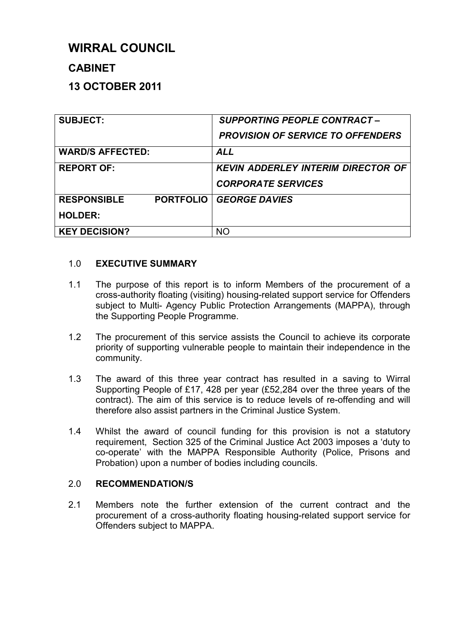# **WIRRAL COUNCIL**

## **CABINET**

## **13 OCTOBER 2011**

| <b>SUBJECT:</b>                        | <b>SUPPORTING PEOPLE CONTRACT -</b>       |  |
|----------------------------------------|-------------------------------------------|--|
|                                        | <b>PROVISION OF SERVICE TO OFFENDERS</b>  |  |
| <b>WARD/S AFFECTED:</b>                | <b>ALL</b>                                |  |
| <b>REPORT OF:</b>                      | <b>KEVIN ADDERLEY INTERIM DIRECTOR OF</b> |  |
|                                        | <b>CORPORATE SERVICES</b>                 |  |
| <b>PORTFOLIO</b><br><b>RESPONSIBLE</b> | <b>GEORGE DAVIES</b>                      |  |
| <b>HOLDER:</b>                         |                                           |  |
| <b>KEY DECISION?</b>                   | <b>NO</b>                                 |  |

## 1.0 **EXECUTIVE SUMMARY**

- 1.1 The purpose of this report is to inform Members of the procurement of a cross-authority floating (visiting) housing-related support service for Offenders subject to Multi- Agency Public Protection Arrangements (MAPPA), through the Supporting People Programme.
- 1.2 The procurement of this service assists the Council to achieve its corporate priority of supporting vulnerable people to maintain their independence in the community.
- 1.3 The award of this three year contract has resulted in a saving to Wirral Supporting People of £17, 428 per year (£52,284 over the three years of the contract). The aim of this service is to reduce levels of re-offending and will therefore also assist partners in the Criminal Justice System.
- 1.4 Whilst the award of council funding for this provision is not a statutory requirement, Section 325 of the Criminal Justice Act 2003 imposes a 'duty to co-operate' with the MAPPA Responsible Authority (Police, Prisons and Probation) upon a number of bodies including councils.

## 2.0 **RECOMMENDATION/S**

2.1 Members note the further extension of the current contract and the procurement of a cross-authority floating housing-related support service for Offenders subject to MAPPA.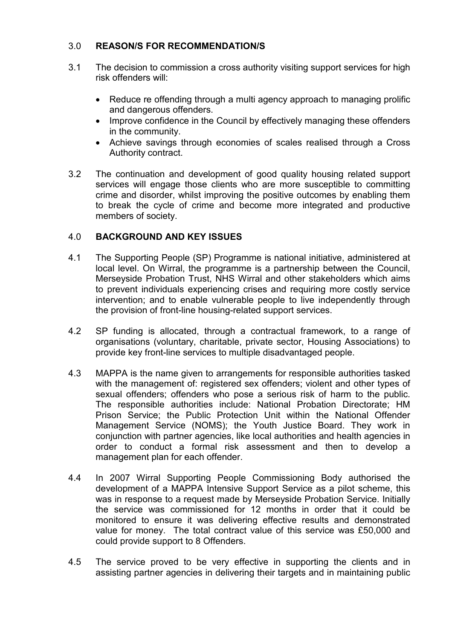### 3.0 **REASON/S FOR RECOMMENDATION/S**

- 3.1 The decision to commission a cross authority visiting support services for high risk offenders will:
	- Reduce re offending through a multi agency approach to managing prolific and dangerous offenders.
	- Improve confidence in the Council by effectively managing these offenders in the community.
	- Achieve savings through economies of scales realised through a Cross Authority contract.
- 3.2 The continuation and development of good quality housing related support services will engage those clients who are more susceptible to committing crime and disorder, whilst improving the positive outcomes by enabling them to break the cycle of crime and become more integrated and productive members of society.

## 4.0 **BACKGROUND AND KEY ISSUES**

- 4.1 The Supporting People (SP) Programme is national initiative, administered at local level. On Wirral, the programme is a partnership between the Council, Merseyside Probation Trust, NHS Wirral and other stakeholders which aims to prevent individuals experiencing crises and requiring more costly service intervention; and to enable vulnerable people to live independently through the provision of front-line housing-related support services.
- 4.2 SP funding is allocated, through a contractual framework, to a range of organisations (voluntary, charitable, private sector, Housing Associations) to provide key front-line services to multiple disadvantaged people.
- 4.3 MAPPA is the name given to arrangements for responsible authorities tasked with the management of: registered sex offenders; violent and other types of sexual offenders; offenders who pose a serious risk of harm to the public. The responsible authorities include: National Probation Directorate; HM Prison Service; the Public Protection Unit within the National Offender Management Service (NOMS); the Youth Justice Board. They work in conjunction with partner agencies, like local authorities and health agencies in order to conduct a formal risk assessment and then to develop a management plan for each offender.
- 4.4 In 2007 Wirral Supporting People Commissioning Body authorised the development of a MAPPA Intensive Support Service as a pilot scheme, this was in response to a request made by Merseyside Probation Service. Initially the service was commissioned for 12 months in order that it could be monitored to ensure it was delivering effective results and demonstrated value for money. The total contract value of this service was £50,000 and could provide support to 8 Offenders.
- 4.5 The service proved to be very effective in supporting the clients and in assisting partner agencies in delivering their targets and in maintaining public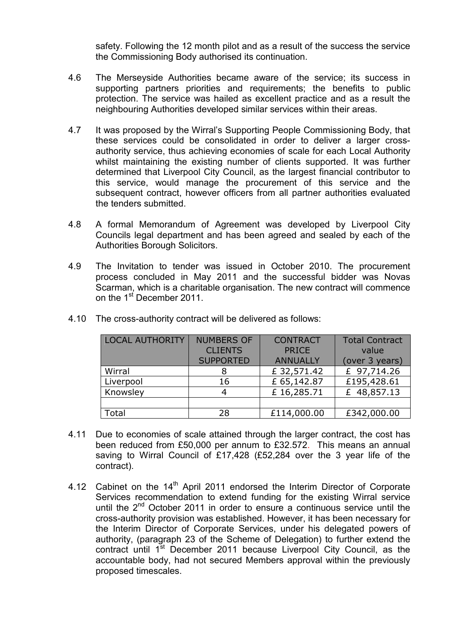safety. Following the 12 month pilot and as a result of the success the service the Commissioning Body authorised its continuation.

- 4.6 The Merseyside Authorities became aware of the service; its success in supporting partners priorities and requirements; the benefits to public protection. The service was hailed as excellent practice and as a result the neighbouring Authorities developed similar services within their areas.
- 4.7 It was proposed by the Wirral's Supporting People Commissioning Body, that these services could be consolidated in order to deliver a larger crossauthority service, thus achieving economies of scale for each Local Authority whilst maintaining the existing number of clients supported. It was further determined that Liverpool City Council, as the largest financial contributor to this service, would manage the procurement of this service and the subsequent contract, however officers from all partner authorities evaluated the tenders submitted.
- 4.8 A formal Memorandum of Agreement was developed by Liverpool City Councils legal department and has been agreed and sealed by each of the Authorities Borough Solicitors.
- 4.9 The Invitation to tender was issued in October 2010. The procurement process concluded in May 2011 and the successful bidder was Novas Scarman, which is a charitable organisation. The new contract will commence on the 1<sup>st</sup> December 2011.

| <b>LOCAL AUTHORITY</b> | <b>NUMBERS OF</b> | <b>CONTRACT</b> | <b>Total Contract</b> |
|------------------------|-------------------|-----------------|-----------------------|
|                        | <b>CLIENTS</b>    | <b>PRICE</b>    | value                 |
|                        | <b>SUPPORTED</b>  | <b>ANNUALLY</b> | (over 3 years)        |
| Wirral                 |                   | £ 32,571.42     | £ 97,714.26           |
| Liverpool              | 16                | £ 65,142.87     | £195,428.61           |
| Knowsley               | 4                 | £16,285.71      | £ 48,857.13           |
|                        |                   |                 |                       |
| Total                  | 28                | £114,000.00     | £342,000.00           |

4.10 The cross-authority contract will be delivered as follows:

- 4.11 Due to economies of scale attained through the larger contract, the cost has been reduced from £50,000 per annum to £32.572. This means an annual saving to Wirral Council of £17,428 (£52,284 over the 3 year life of the contract).
- 4.12 Cabinet on the 14<sup>th</sup> April 2011 endorsed the Interim Director of Corporate Services recommendation to extend funding for the existing Wirral service until the  $2^{nd}$  October 2011 in order to ensure a continuous service until the cross-authority provision was established. However, it has been necessary for the Interim Director of Corporate Services, under his delegated powers of authority, (paragraph 23 of the Scheme of Delegation) to further extend the contract until 1<sup>st</sup> December 2011 because Liverpool City Council, as the accountable body, had not secured Members approval within the previously proposed timescales.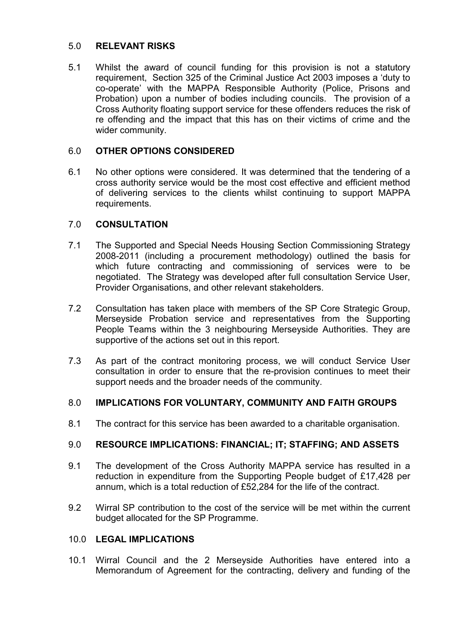#### 5.0 **RELEVANT RISKS**

5.1 Whilst the award of council funding for this provision is not a statutory requirement, Section 325 of the Criminal Justice Act 2003 imposes a 'duty to co-operate' with the MAPPA Responsible Authority (Police, Prisons and Probation) upon a number of bodies including councils. The provision of a Cross Authority floating support service for these offenders reduces the risk of re offending and the impact that this has on their victims of crime and the wider community.

## 6.0 **OTHER OPTIONS CONSIDERED**

6.1 No other options were considered. It was determined that the tendering of a cross authority service would be the most cost effective and efficient method of delivering services to the clients whilst continuing to support MAPPA requirements.

## 7.0 **CONSULTATION**

- 7.1 The Supported and Special Needs Housing Section Commissioning Strategy 2008-2011 (including a procurement methodology) outlined the basis for which future contracting and commissioning of services were to be negotiated. The Strategy was developed after full consultation Service User, Provider Organisations, and other relevant stakeholders.
- 7.2 Consultation has taken place with members of the SP Core Strategic Group, Merseyside Probation service and representatives from the Supporting People Teams within the 3 neighbouring Merseyside Authorities. They are supportive of the actions set out in this report.
- 7.3 As part of the contract monitoring process, we will conduct Service User consultation in order to ensure that the re-provision continues to meet their support needs and the broader needs of the community.

#### 8.0 **IMPLICATIONS FOR VOLUNTARY, COMMUNITY AND FAITH GROUPS**

8.1 The contract for this service has been awarded to a charitable organisation.

#### 9.0 **RESOURCE IMPLICATIONS: FINANCIAL; IT; STAFFING; AND ASSETS**

- 9.1 The development of the Cross Authority MAPPA service has resulted in a reduction in expenditure from the Supporting People budget of £17,428 per annum, which is a total reduction of £52,284 for the life of the contract.
- 9.2 Wirral SP contribution to the cost of the service will be met within the current budget allocated for the SP Programme.

#### 10.0 **LEGAL IMPLICATIONS**

10.1 Wirral Council and the 2 Merseyside Authorities have entered into a Memorandum of Agreement for the contracting, delivery and funding of the